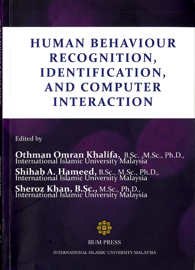# **HUMAN BEHAVIOUR** RECOGNITION, **IDENTIFICATION, AND COMPUTER INTERACTION**

**Edited** by

**Othman Omran Khalifa**, B.Sc., M.Sc., Ph.D., International Islamic University Malaysia Shihab A. Hameed, B.Sc., M.Sc., Ph.D.,<br>International Islamic University Malaysia **Sheroz Khan, B.Sc., M.Sc., Ph.D.,<br>International Islamic University Malaysia** 



**IIUM PRESS** 

**INTERNATIONAL ISLAMIC UNIVERSITY MALAYSIA**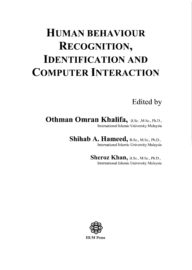## **HUMAN BEHAVIOUR RECOGNITION, IDENTIFICATION AND COMPUTER INTERACTION**

Edited by

Othman Omran Khalifa, B.Sc., M.Sc., Ph.D., International Islamic University Malaysia

Shihab A. Hameed, B.Sc., M.Sc., Ph.D.,

International Islamic University Malaysia

Sheroz Khan, B.Sc., M.Sc., Ph.D., International Islamic University Malaysia

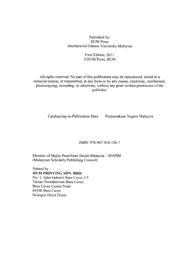Published by: **IIUM** Press International Islamic University Malaysia

#### First Edition, 2011 CIIUM Press, IIUM

All rights reserved. No part of this publication may be reproduced, stored in a retrieval system, or transmitted, in any form or by any means, electronic, mechanical, photocopying, recording, or otherwise, without any prior written permission of the publisher.

Cataloguing-in-Publication Data

Perpustakaan Negara Malaysia

ISBN: 978-967-418-156-7

Member of Majlis Penerbitan Ilmiah Malaysia - MAPIM (Malaysian Scholarly Publishing Council)

Printed by: **HUM PRINTING SDN. BHD.** No. 1, Jalan Industri Batu Caves 1/3 Taman Perindustrian Batu Caves **Batu Caves Centre Point** 68100 Batu Caves Selangor Darul Ehsan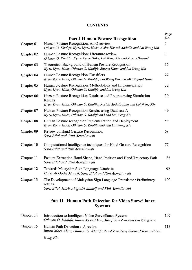### **CONTENTS**

|            | <b>Part-I Human Posture Recognition</b>                                                                                                               | Page<br>No. |
|------------|-------------------------------------------------------------------------------------------------------------------------------------------------------|-------------|
| Chapter 01 | Human Posture Recognition: An Overview<br>Othman O. Khalifa, Kyaw Kyaw Htike, Aisha-Hassab Abdalla and Lai Weng Kin                                   | 1           |
| Chapter 02 | Human Posture Recognition: Literature review<br>Othman O. Khalifa, Kyaw Kyaw Htike, Lai Weng Kin and A. A. Alkhazmi                                   | 7           |
| Chapter 03 | Theoretical Background of Human Posture Recognition<br>Kyaw Kyaw Htike, Othman O. Khalifa, Sheroz Khan and Lai Weng Kin                               | 15          |
| Chapter 04 | Human Posture Recognition Classifiers<br>Kyaw Kyaw Htike, Othman O. Khalifa, Lai Weng Kin and MD Rafiqul Islam                                        | 22          |
| Chapter 05 | Human Posture Recognition: Methodology and Implementation<br>Kyaw Kyaw Htike, Othman O. Khalifa, and Lai Weng Kin                                     | 32          |
| Chapter 06 | Human Posture Recognition Database and Preprocessing Simulation<br>Results<br>Kyaw Kyaw Htike, Othman O. Khalifa, Rashid Abdallrahim and Lai Weng Kin | 39          |
| Chapter 07 | Human Posture Recognition Results using Database A<br>Kyaw Kyaw Htike, Othman O. Khalifa and and Lai Weng Kin                                         | 49          |
| Chapter 08 | Human Posture recognition Implementation and Deployment<br>Kyaw Kyaw Htike, Othman O. Khalifa and and Lai Weng Kin                                    | 58          |
| Chapter 09 | Review on Hand Gesture Recognition<br>Sara Bilal and Rini Akmeliawati                                                                                 | 68          |
| Chapter 10 | Computational Intelligence techniques for Hand Gesture Recognition<br>Sara Bilal and Rini Akmeliawati                                                 | 77          |
| Chapter 11 | Feature Extraction: Hand Shape, Hand Position and Hand Trajectory Path<br>Sara Bilal and Rini Akmeliawati                                             | 85          |
| Chapter 12 | Towards Malaysian Sign Language Database<br>Haris Al Qodri Maarif, Sara Bilal and Rini Akmeliawati                                                    | 92          |
| Chapter 13 | The Development of Malaysian Sign Language Translator: Preliminary<br>results<br>Sara Bilal, Haris Al Qodri Maarif and Rini Akmeliawati               | 100         |
|            | Part II<br><b>Human Path Detection for Video Surveillance</b>                                                                                         |             |

**Systems** 

| Chapter 14 | Introduction to Intelligent Video Surveillance Systems<br>Othman O. Khalifa, Imran Moez Khan, Yusof Zaw Zaw and Lai Weng Kin | 107 |
|------------|------------------------------------------------------------------------------------------------------------------------------|-----|
| Chapter 15 | Human Path Detection : A review<br>Imran Moez Khan, Othman O. Khalifa Yusof Zaw Zaw, Sheroz Khan and Lai                     | 113 |
|            | Weng Kin                                                                                                                     |     |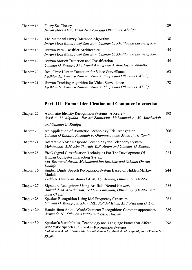| Chapter 16 | <b>Fuzzy Set Theory</b><br>Imran Moez Khan, Yusof Zaw Zaw and Othman O. Khalifa                                   | 129 |
|------------|-------------------------------------------------------------------------------------------------------------------|-----|
| Chapter 17 | The Mamdani Fuzzy Inference Algorithm<br>Imran Moez Khan, Yusof Zaw Zaw, Othman O. Khalifa and Lai Weng Kin       | 138 |
| Chapter 18 | Human Path Classifier Architecture<br>Imran Moez Khan, Yusof Zaw Zaw, Othman O. Khalifa and Lai Weng Kin          | 145 |
| Chapter 19 | Human Motion Detection and Classification<br>Othman O. Khalifa, Mat Kamil Awang and Aisha-Hassan Abdulla          | 154 |
| Chapter 20 | Real-Time Human Detection for Video Surveillance<br>Fadhlan H. Kamaru Zaman, Amir A. Shafie and Othman O. Khalifa | 163 |
| Chapter 21 | Human Tracking Algorithm for Video Surveillance<br>Fadhlan H. Kamaru Zaman, Amir A. Shafie and Othman O. Khalifa  | 178 |

## Part-III Human Identification and Computer Interaction

| Chapter 22 | <b>Automatic Identity Recognition Systems: A Review</b><br>Assal A. M. Alqudah,, Roziati Zainuddin, Mohammad A. M. Abushariah,                                                                              | 192 |
|------------|-------------------------------------------------------------------------------------------------------------------------------------------------------------------------------------------------------------|-----|
|            | and Othman O. Khalifa                                                                                                                                                                                       |     |
| Chapter 23 | An Application of Biometric Technology: Iris Recognition<br>Othman O Khalifa, Rashidah F. Olanrewaju and Mohd Fariz Ramli                                                                                   | 206 |
| Chapter 24 | Interactive Voice Response Technology for Telephony System<br>Mohammad A.M. Abu Shariah, R.N. Ainon and Othman O. Khalifa                                                                                   | 213 |
| Chapter 25 | EMG Signal Classification Techniques For The Development Of<br>Human Computer Interaction System<br>Md. Rezwanul Ahsan, Muhammad Ibn Ibrahimyand Othman Omran<br>Khalifa                                    | 224 |
| Chapter 26 | English Digits Speech Recognition System Based on Hidden Markov<br>Models<br>Teddy S. Gunawan, Ahmad A. M. Abushariah, Othman O. Khalifa                                                                    | 244 |
| Chapter 27 | <b>Signature Recognition Using Artificial Neural Network</b><br>Ahmad A. M. Abushariah, Teddy S. Gunawan, Othman O. Khalifa, and<br>Jalel Chebil                                                            | 255 |
| Chapter 28 | Speaker Recognition Using Mel Frequency Cepstrum<br>Othman O. Khalifa, S. Khan, MD. Rafidul Islam, M. Faizal and D. Dol                                                                                     | 263 |
| Chapter 29 | Handwritten Arabic Word/Character Recognition: Common approaches<br>Assma O. H., Othman Khalifa and Aisha Hassan                                                                                            | 289 |
| Chapter 30 | Speaker's Variabilities, Technology and Language Issues that Affect<br>Automatic Speech and Speaker Recognition Systems<br>Mohammad A. M. Abushariah, Roziati Zaimuddin, Assal A. M. Alqudah, and Othman O. | 298 |
|            | Khalifa                                                                                                                                                                                                     |     |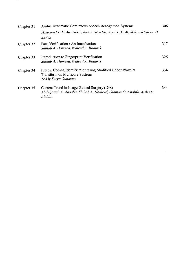| Chapter 31 | Arabic Automatic Continuous Speech Recognition Systems                                                                         | 306 |
|------------|--------------------------------------------------------------------------------------------------------------------------------|-----|
|            | Mohammad A. M. Abushariah, Roziati Zainuddin, Assal A. M. Alqudah, and Othman O.                                               |     |
|            | Khalifa                                                                                                                        |     |
| Chapter 32 | Face Verification : An Introduction<br>Shihab A. Hameed, Waleed A. Badurik                                                     | 317 |
| Chapter 33 | Introduction to Fingerprint Verification<br>Shihab A. Hameed, Waleed A. Badurik                                                | 326 |
| Chapter 34 | Protein Coding Identification using Modified Gabor Wavelet<br><b>Transform on Multicore Systems</b><br>Teddy Surya Gunawan     | 334 |
| Chapter 35 | Current Trend in Image Guided Surgery (IGS)<br>Abdulfattah A. Aboaba, Shihab A. Hameed, Othman O. Khalifa, Aisha H.<br>Abdalla | 344 |

 $\overline{\phantom{a}}$